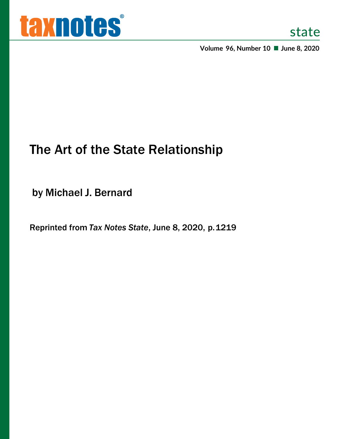

**Volume 96, Number 10 June 8, 2020**

# The Art of the State Relationship

by Michael J. Bernard

Reprinted from *Tax Notes State*, June 8, 2020, p. 1219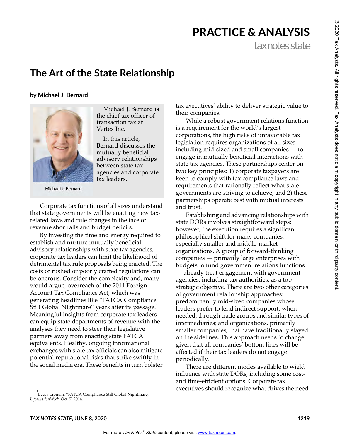## PRACTICE & ANALYSIS

tax notes state

### **The Art of the State Relationship**

**by Michael J. Bernard**



Michael J. Bernard

Michael J. Bernard is the chief tax officer of transaction tax at Vertex Inc.

In this article, Bernard discusses the mutually beneficial advisory relationships between state tax agencies and corporate tax leaders.

Corporate tax functions of all sizes understand that state governments will be enacting new taxrelated laws and rule changes in the face of revenue shortfalls and budget deficits.

By investing the time and energy required to establish and nurture mutually beneficial advisory relationships with state tax agencies, corporate tax leaders can limit the likelihood of detrimental tax rule proposals being enacted. The costs of rushed or poorly crafted regulations can be onerous. Consider the complexity and, many would argue, overreach of the 2011 Foreign Account Tax Compliance Act, which was generating headlines like "FATCA Compliance Still Global Nightmare" years after its passage.<sup>1</sup> Meaningful insights from corporate tax leaders can equip state departments of revenue with the analyses they need to steer their legislative partners away from enacting state FATCA equivalents. Healthy, ongoing informational exchanges with state tax officials can also mitigate potential reputational risks that strike swiftly in the social media era. These benefits in turn bolster tax executives' ability to deliver strategic value to their companies.

While a robust government relations function is a requirement for the world's largest corporations, the high risks of unfavorable tax legislation requires organizations of all sizes including mid-sized and small companies — to engage in mutually beneficial interactions with state tax agencies. These partnerships center on two key principles: 1) corporate taxpayers are keen to comply with tax compliance laws and requirements that rationally reflect what state governments are striving to achieve; and 2) these partnerships operate best with mutual interests and trust.

Establishing and advancing relationships with state DORs involves straightforward steps; however, the execution requires a significant philosophical shift for many companies, especially smaller and middle-market organizations. A group of forward-thinking companies — primarily large enterprises with budgets to fund government relations functions — already treat engagement with government agencies, including tax authorities, as a top strategic objective. There are two other categories of government relationship approaches: predominantly mid-sized companies whose leaders prefer to lend indirect support, when needed, through trade groups and similar types of intermediaries; and organizations, primarily smaller companies, that have traditionally stayed on the sidelines. This approach needs to change given that all companies' bottom lines will be affected if their tax leaders do not engage periodically.

There are different modes available to wield influence with state DORs, including some costand time-efficient options. Corporate tax executives should recognize what drives the need

<sup>&</sup>lt;sup>1</sup> Becca Lipman, "FATCA Compliance Still Global Nightmare," *InformationWeek*, Oct. 7, 2014.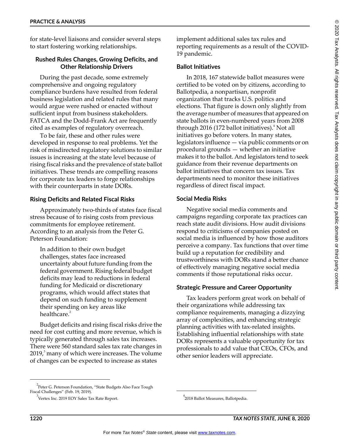for state-level liaisons and consider several steps to start fostering working relationships.

#### **Rushed Rules Changes, Growing Deficits, and Other Relationship Drivers**

During the past decade, some extremely comprehensive and ongoing regulatory compliance burdens have resulted from federal business legislation and related rules that many would argue were rushed or enacted without sufficient input from business stakeholders. FATCA and the Dodd-Frank Act are frequently cited as examples of regulatory overreach.

To be fair, these and other rules were developed in response to real problems. Yet the risk of misdirected regulatory solutions to similar issues is increasing at the state level because of rising fiscal risks and the prevalence of state ballot initiatives. These trends are compelling reasons for corporate tax leaders to forge relationships with their counterparts in state DORs.

#### **Rising Deficits and Related Fiscal Risks**

Approximately two-thirds of states face fiscal stress because of to rising costs from previous commitments for employee retirement. According to an analysis from the Peter G. Peterson Foundation:

In addition to their own budget challenges, states face increased uncertainty about future funding from the federal government. Rising federal budget deficits may lead to reductions in federal funding for Medicaid or discretionary programs, which would affect states that depend on such funding to supplement their spending on key areas like healthcare.<sup>2</sup>

Budget deficits and rising fiscal risks drive the need for cost cutting and more revenue, which is typically generated through sales tax increases. There were 560 standard sales tax rate changes in  $2019<sup>3</sup>$  many of which were increases. The volume of changes can be expected to increase as states

implement additional sales tax rules and reporting requirements as a result of the COVID-19 pandemic.

#### **Ballot Initiatives**

In 2018, 167 statewide ballot measures were certified to be voted on by citizens, according to Ballotpedia, a nonpartisan, nonprofit organization that tracks U.S. politics and elections. That figure is down only slightly from the average number of measures that appeared on state ballots in even-numbered years from 2008 through 2016 (172 ballot initiatives).<sup>4</sup> Not all initiatives go before voters. In many states, legislators influence — via public comments or on procedural grounds — whether an initiative makes it to the ballot. And legislators tend to seek guidance from their revenue departments on ballot initiatives that concern tax issues. Tax departments need to monitor these initiatives regardless of direct fiscal impact.

#### **Social Media Risks**

Negative social media comments and campaigns regarding corporate tax practices can reach state audit divisions. How audit divisions respond to criticisms of companies posted on social media is influenced by how those auditors perceive a company. Tax functions that over time build up a reputation for credibility and trustworthiness with DORs stand a better chance of effectively managing negative social media comments if those reputational risks occur.

#### **Strategic Pressure and Career Opportunity**

Tax leaders perform great work on behalf of their organizations while addressing tax compliance requirements, managing a dizzying array of complexities, and enhancing strategic planning activities with tax-related insights. Establishing influential relationships with state DORs represents a valuable opportunity for tax professionals to add value that CEOs, CFOs, and other senior leaders will appreciate.

 $^{2}$ Peter G. Peterson Foundation, "State Budgets Also Face Tough Fiscal Challenges" (Feb. 19, 2019).

 $3$  Vertex Inc. 2019 EOY Sales Tax Rate Report.  $4$ 

<sup>2018</sup> Ballot Measures, Ballotpedia.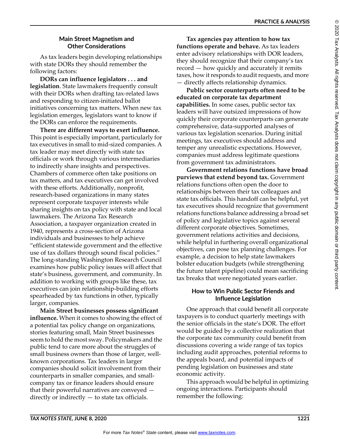#### **PRACTICE & ANALYSIS**

#### **Main Street Magnetism and Other Considerations**

As tax leaders begin developing relationships with state DORs they should remember the following factors:

**DORs can influence legislators . . . and legislation**. State lawmakers frequently consult with their DORs when drafting tax-related laws and responding to citizen-initiated ballot initiatives concerning tax matters. When new tax legislation emerges, legislators want to know if the DORs can enforce the requirements.

**There are different ways to exert influence.** This point is especially important, particularly for tax executives in small to mid-sized companies. A tax leader may meet directly with state tax officials or work through various intermediaries to indirectly share insights and perspectives. Chambers of commerce often take positions on tax matters, and tax executives can get involved with these efforts. Additionally, nonprofit, research-based organizations in many states represent corporate taxpayer interests while sharing insights on tax policy with state and local lawmakers. The Arizona Tax Research Association, a taxpayer organization created in 1940, represents a cross-section of Arizona individuals and businesses to help achieve "efficient statewide government and the effective use of tax dollars through sound fiscal policies." The long-standing Washington Research Council examines how public policy issues will affect that state's business, government, and community. In addition to working with groups like these, tax executives can join relationship-building efforts spearheaded by tax functions in other, typically larger, companies.

**Main Street businesses possess significant influence.** When it comes to showing the effect of a potential tax policy change on organizations, stories featuring small, Main Street businesses seem to hold the most sway. Policymakers and the public tend to care more about the struggles of small business owners than those of larger, wellknown corporations. Tax leaders in larger companies should solicit involvement from their counterparts in smaller companies, and smallcompany tax or finance leaders should ensure that their powerful narratives are conveyed directly or indirectly  $-$  to state tax officials.

**Tax agencies pay attention to how tax functions operate and behave.** As tax leaders enter advisory relationships with DOR leaders, they should recognize that their company's tax record — how quickly and accurately it remits taxes, how it responds to audit requests, and more — directly affects relationship dynamics.

**Public sector counterparts often need to be educated on corporate tax department capabilities.** In some cases, public sector tax leaders will have outsized impressions of how quickly their corporate counterparts can generate comprehensive, data-supported analyses of various tax legislation scenarios. During initial meetings, tax executives should address and temper any unrealistic expectations. However, companies must address legitimate questions from government tax administrators.

**Government relations functions have broad purviews that extend beyond tax.** Government relations functions often open the door to relationships between their tax colleagues and state tax officials. This handoff can be helpful, yet tax executives should recognize that government relations functions balance addressing a broad set of policy and legislative topics against several different corporate objectives. Sometimes, government relations activities and decisions, while helpful in furthering overall organizational objectives, can pose tax planning challenges. For example, a decision to help state lawmakers bolster education budgets (while strengthening the future talent pipeline) could mean sacrificing tax breaks that were negotiated years earlier.

#### **How to Win Public Sector Friends and Influence Legislation**

One approach that could benefit all corporate taxpayers is to conduct quarterly meetings with the senior officials in the state's DOR. The effort would be guided by a collective realization that the corporate tax community could benefit from discussions covering a wide range of tax topics including audit approaches, potential reforms to the appeals board, and potential impacts of pending legislation on businesses and state economic activity.

This approach would be helpful in optimizing ongoing interactions. Participants should remember the following: